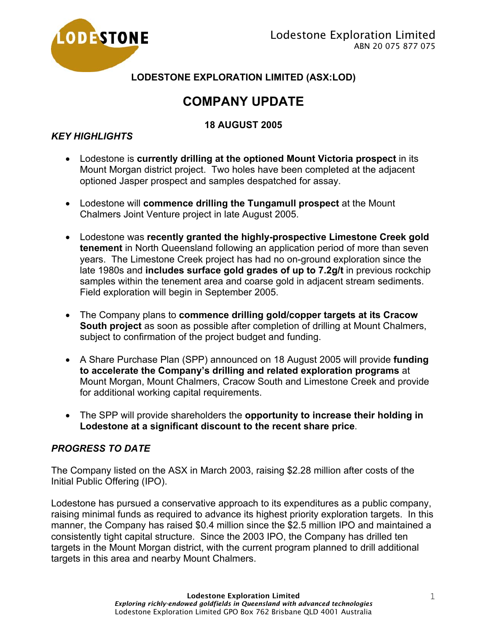

**LODESTONE EXPLORATION LIMITED (ASX:LOD)** 

# **COMPANY UPDATE**

# **18 AUGUST 2005**

# *KEY HIGHLIGHTS*

- Lodestone is **currently drilling at the optioned Mount Victoria prospect** in its Mount Morgan district project. Two holes have been completed at the adjacent optioned Jasper prospect and samples despatched for assay.
- Lodestone will **commence drilling the Tungamull prospect** at the Mount Chalmers Joint Venture project in late August 2005.
- Lodestone was **recently granted the highly-prospective Limestone Creek gold tenement** in North Queensland following an application period of more than seven years. The Limestone Creek project has had no on-ground exploration since the late 1980s and **includes surface gold grades of up to 7.2g/t** in previous rockchip samples within the tenement area and coarse gold in adjacent stream sediments. Field exploration will begin in September 2005.
- The Company plans to **commence drilling gold/copper targets at its Cracow South project** as soon as possible after completion of drilling at Mount Chalmers, subject to confirmation of the project budget and funding.
- A Share Purchase Plan (SPP) announced on 18 August 2005 will provide **funding to accelerate the Company's drilling and related exploration programs** at Mount Morgan, Mount Chalmers, Cracow South and Limestone Creek and provide for additional working capital requirements.
- The SPP will provide shareholders the **opportunity to increase their holding in Lodestone at a significant discount to the recent share price**.

## *PROGRESS TO DATE*

The Company listed on the ASX in March 2003, raising \$2.28 million after costs of the Initial Public Offering (IPO).

Lodestone has pursued a conservative approach to its expenditures as a public company, raising minimal funds as required to advance its highest priority exploration targets. In this manner, the Company has raised \$0.4 million since the \$2.5 million IPO and maintained a consistently tight capital structure. Since the 2003 IPO, the Company has drilled ten targets in the Mount Morgan district, with the current program planned to drill additional targets in this area and nearby Mount Chalmers.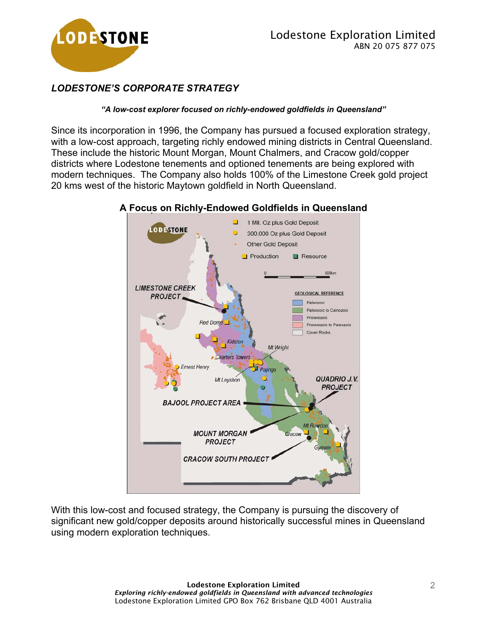

# *LODESTONE'S CORPORATE STRATEGY*

#### *"A low-cost explorer focused on richly-endowed goldfields in Queensland"*

Since its incorporation in 1996, the Company has pursued a focused exploration strategy, with a low-cost approach, targeting richly endowed mining districts in Central Queensland. These include the historic Mount Morgan, Mount Chalmers, and Cracow gold/copper districts where Lodestone tenements and optioned tenements are being explored with modern techniques. The Company also holds 100% of the Limestone Creek gold project 20 kms west of the historic Maytown goldfield in North Queensland.



#### **A Focus on Richly-Endowed Goldfields in Queensland**

With this low-cost and focused strategy, the Company is pursuing the discovery of significant new gold/copper deposits around historically successful mines in Queensland using modern exploration techniques.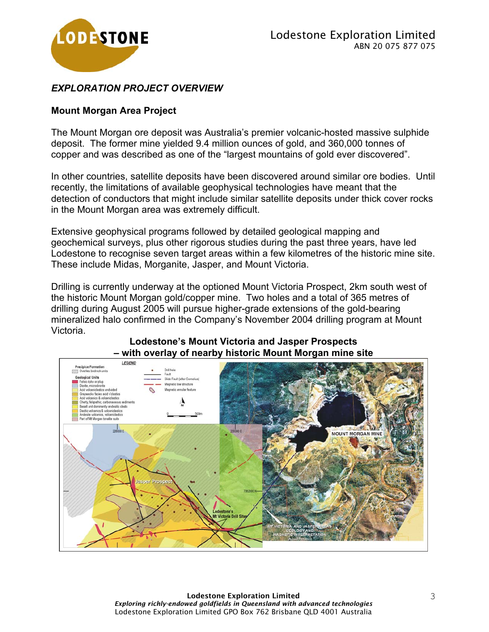

### *EXPLORATION PROJECT OVERVIEW*

#### **Mount Morgan Area Project**

The Mount Morgan ore deposit was Australia's premier volcanic-hosted massive sulphide deposit. The former mine yielded 9.4 million ounces of gold, and 360,000 tonnes of copper and was described as one of the "largest mountains of gold ever discovered".

In other countries, satellite deposits have been discovered around similar ore bodies. Until recently, the limitations of available geophysical technologies have meant that the detection of conductors that might include similar satellite deposits under thick cover rocks in the Mount Morgan area was extremely difficult.

Extensive geophysical programs followed by detailed geological mapping and geochemical surveys, plus other rigorous studies during the past three years, have led Lodestone to recognise seven target areas within a few kilometres of the historic mine site. These include Midas, Morganite, Jasper, and Mount Victoria.

Drilling is currently underway at the optioned Mount Victoria Prospect, 2km south west of the historic Mount Morgan gold/copper mine. Two holes and a total of 365 metres of drilling during August 2005 will pursue higher-grade extensions of the gold-bearing mineralized halo confirmed in the Company's November 2004 drilling program at Mount Victoria.



#### **Lodestone's Mount Victoria and Jasper Prospects – with overlay of nearby historic Mount Morgan mine site**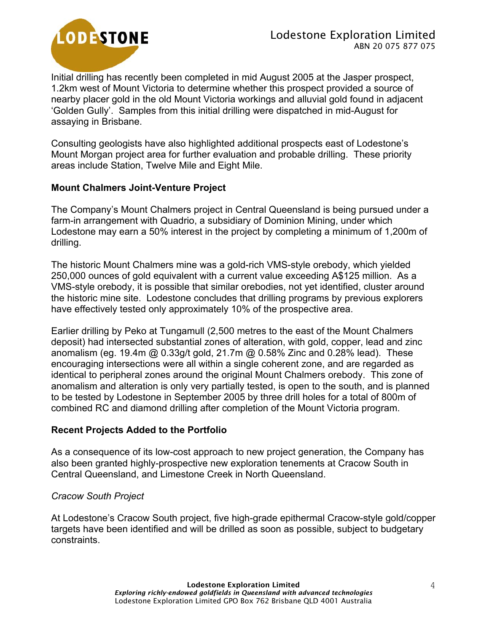

Initial drilling has recently been completed in mid August 2005 at the Jasper prospect, 1.2km west of Mount Victoria to determine whether this prospect provided a source of nearby placer gold in the old Mount Victoria workings and alluvial gold found in adjacent 'Golden Gully'. Samples from this initial drilling were dispatched in mid-August for assaying in Brisbane.

Consulting geologists have also highlighted additional prospects east of Lodestone's Mount Morgan project area for further evaluation and probable drilling. These priority areas include Station, Twelve Mile and Eight Mile.

#### **Mount Chalmers Joint-Venture Project**

The Company's Mount Chalmers project in Central Queensland is being pursued under a farm-in arrangement with Quadrio, a subsidiary of Dominion Mining, under which Lodestone may earn a 50% interest in the project by completing a minimum of 1,200m of drilling.

The historic Mount Chalmers mine was a gold-rich VMS-style orebody, which yielded 250,000 ounces of gold equivalent with a current value exceeding A\$125 million. As a VMS-style orebody, it is possible that similar orebodies, not yet identified, cluster around the historic mine site. Lodestone concludes that drilling programs by previous explorers have effectively tested only approximately 10% of the prospective area.

Earlier drilling by Peko at Tungamull (2,500 metres to the east of the Mount Chalmers deposit) had intersected substantial zones of alteration, with gold, copper, lead and zinc anomalism (eg. 19.4m @ 0.33g/t gold, 21.7m @ 0.58% Zinc and 0.28% lead). These encouraging intersections were all within a single coherent zone, and are regarded as identical to peripheral zones around the original Mount Chalmers orebody. This zone of anomalism and alteration is only very partially tested, is open to the south, and is planned to be tested by Lodestone in September 2005 by three drill holes for a total of 800m of combined RC and diamond drilling after completion of the Mount Victoria program.

#### **Recent Projects Added to the Portfolio**

As a consequence of its low-cost approach to new project generation, the Company has also been granted highly-prospective new exploration tenements at Cracow South in Central Queensland, and Limestone Creek in North Queensland.

#### *Cracow South Project*

At Lodestone's Cracow South project, five high-grade epithermal Cracow-style gold/copper targets have been identified and will be drilled as soon as possible, subject to budgetary constraints.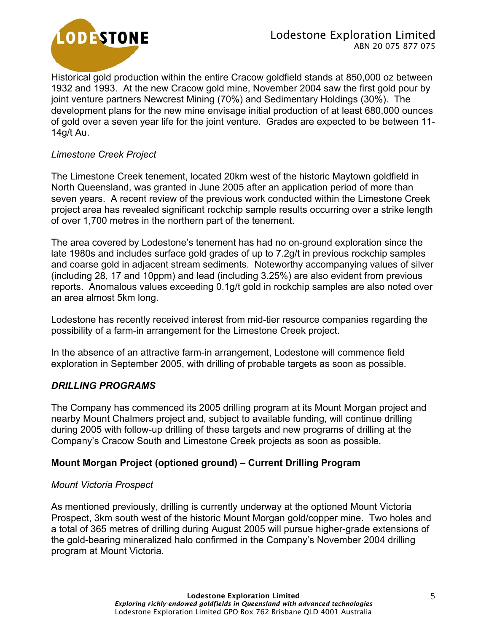

Historical gold production within the entire Cracow goldfield stands at 850,000 oz between 1932 and 1993. At the new Cracow gold mine, November 2004 saw the first gold pour by joint venture partners Newcrest Mining (70%) and Sedimentary Holdings (30%). The development plans for the new mine envisage initial production of at least 680,000 ounces of gold over a seven year life for the joint venture. Grades are expected to be between 11- 14g/t Au.

#### *Limestone Creek Project*

The Limestone Creek tenement, located 20km west of the historic Maytown goldfield in North Queensland, was granted in June 2005 after an application period of more than seven years. A recent review of the previous work conducted within the Limestone Creek project area has revealed significant rockchip sample results occurring over a strike length of over 1,700 metres in the northern part of the tenement.

The area covered by Lodestone's tenement has had no on-ground exploration since the late 1980s and includes surface gold grades of up to 7.2g/t in previous rockchip samples and coarse gold in adjacent stream sediments. Noteworthy accompanying values of silver (including 28, 17 and 10ppm) and lead (including 3.25%) are also evident from previous reports. Anomalous values exceeding 0.1g/t gold in rockchip samples are also noted over an area almost 5km long.

Lodestone has recently received interest from mid-tier resource companies regarding the possibility of a farm-in arrangement for the Limestone Creek project.

In the absence of an attractive farm-in arrangement, Lodestone will commence field exploration in September 2005, with drilling of probable targets as soon as possible.

#### *DRILLING PROGRAMS*

The Company has commenced its 2005 drilling program at its Mount Morgan project and nearby Mount Chalmers project and, subject to available funding, will continue drilling during 2005 with follow-up drilling of these targets and new programs of drilling at the Company's Cracow South and Limestone Creek projects as soon as possible.

## **Mount Morgan Project (optioned ground) – Current Drilling Program**

#### *Mount Victoria Prospect*

As mentioned previously, drilling is currently underway at the optioned Mount Victoria Prospect, 3km south west of the historic Mount Morgan gold/copper mine. Two holes and a total of 365 metres of drilling during August 2005 will pursue higher-grade extensions of the gold-bearing mineralized halo confirmed in the Company's November 2004 drilling program at Mount Victoria.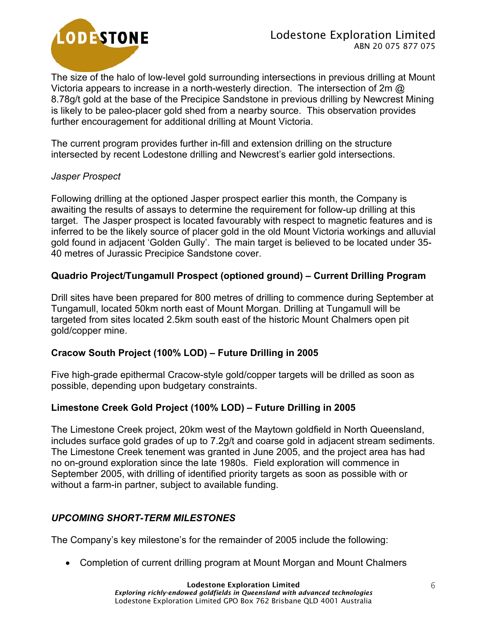

The size of the halo of low-level gold surrounding intersections in previous drilling at Mount Victoria appears to increase in a north-westerly direction. The intersection of 2m @ 8.78g/t gold at the base of the Precipice Sandstone in previous drilling by Newcrest Mining is likely to be paleo-placer gold shed from a nearby source. This observation provides further encouragement for additional drilling at Mount Victoria.

The current program provides further in-fill and extension drilling on the structure intersected by recent Lodestone drilling and Newcrest's earlier gold intersections.

#### *Jasper Prospect*

Following drilling at the optioned Jasper prospect earlier this month, the Company is awaiting the results of assays to determine the requirement for follow-up drilling at this target. The Jasper prospect is located favourably with respect to magnetic features and is inferred to be the likely source of placer gold in the old Mount Victoria workings and alluvial gold found in adjacent 'Golden Gully'. The main target is believed to be located under 35- 40 metres of Jurassic Precipice Sandstone cover.

## **Quadrio Project/Tungamull Prospect (optioned ground) – Current Drilling Program**

Drill sites have been prepared for 800 metres of drilling to commence during September at Tungamull, located 50km north east of Mount Morgan. Drilling at Tungamull will be targeted from sites located 2.5km south east of the historic Mount Chalmers open pit gold/copper mine.

#### **Cracow South Project (100% LOD) – Future Drilling in 2005**

Five high-grade epithermal Cracow-style gold/copper targets will be drilled as soon as possible, depending upon budgetary constraints.

## **Limestone Creek Gold Project (100% LOD) – Future Drilling in 2005**

The Limestone Creek project, 20km west of the Maytown goldfield in North Queensland, includes surface gold grades of up to 7.2g/t and coarse gold in adjacent stream sediments. The Limestone Creek tenement was granted in June 2005, and the project area has had no on-ground exploration since the late 1980s. Field exploration will commence in September 2005, with drilling of identified priority targets as soon as possible with or without a farm-in partner, subject to available funding.

## *UPCOMING SHORT-TERM MILESTONES*

The Company's key milestone's for the remainder of 2005 include the following:

• Completion of current drilling program at Mount Morgan and Mount Chalmers